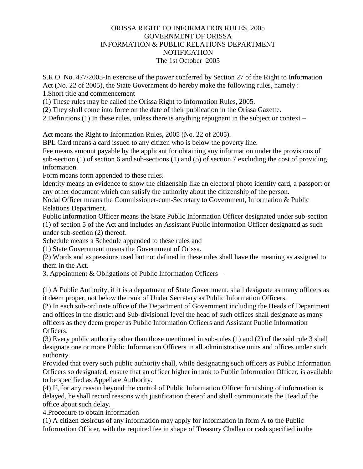#### ORISSA RIGHT TO INFORMATION RULES, 2005 GOVERNMENT OF ORISSA INFORMATION & PUBLIC RELATIONS DEPARTMENT **NOTIFICATION** The 1st October 2005

S.R.O. No. 477/2005-In exercise of the power conferred by Section 27 of the Right to Information Act (No. 22 of 2005), the State Government do hereby make the following rules, namely :

1.Short title and commencement

(1) These rules may be called the Orissa Right to Information Rules, 2005.

(2) They shall come into force on the date of their publication in the Orissa Gazette.

2.Definitions (1) In these rules, unless there is anything repugnant in the subject or context –

Act means the Right to Information Rules, 2005 (No. 22 of 2005).

BPL Card means a card issued to any citizen who is below the poverty line.

Fee means amount payable by the applicant for obtaining any information under the provisions of sub-section (1) of section 6 and sub-sections (1) and (5) of section 7 excluding the cost of providing information.

Form means form appended to these rules.

Identity means an evidence to show the citizenship like an electoral photo identity card, a passport or any other document which can satisfy the authority about the citizenship of the person.

Nodal Officer means the Commissioner-cum-Secretary to Government, Information & Public Relations Department.

Public Information Officer means the State Public Information Officer designated under sub-section (1) of section 5 of the Act and includes an Assistant Public Information Officer designated as such under sub-section (2) thereof.

Schedule means a Schedule appended to these rules and

(1) State Government means the Government of Orissa.

(2) Words and expressions used but not defined in these rules shall have the meaning as assigned to them in the Act.

3. Appointment & Obligations of Public Information Officers –

(1) A Public Authority, if it is a department of State Government, shall designate as many officers as it deem proper, not below the rank of Under Secretary as Public Information Officers.

(2) In each sub-ordinate office of the Department of Government including the Heads of Department and offices in the district and Sub-divisional level the head of such offices shall designate as many officers as they deem proper as Public Information Officers and Assistant Public Information Officers.

(3) Every public authority other than those mentioned in sub-rules (1) and (2) of the said rule 3 shall designate one or more Public Information Officers in all administrative units and offices under such authority.

Provided that every such public authority shall, while designating such officers as Public Information Officers so designated, ensure that an officer higher in rank to Public Information Officer, is available to be specified as Appellate Authority.

(4) If, for any reason beyond the control of Public Information Officer furnishing of information is delayed, he shall record reasons with justification thereof and shall communicate the Head of the office about such delay.

4.Procedure to obtain information

(1) A citizen desirous of any information may apply for information in form A to the Public Information Officer, with the required fee in shape of Treasury Challan or cash specified in the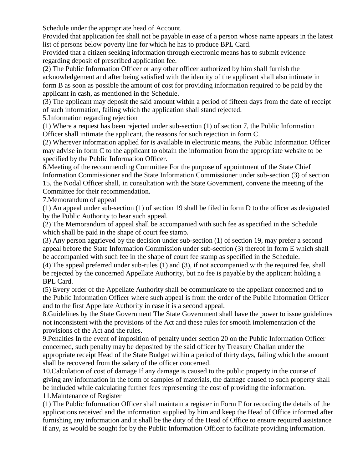Schedule under the appropriate head of Account.

Provided that application fee shall not be payable in ease of a person whose name appears in the latest list of persons below poverty line for which he has to produce BPL Card.

Provided that a citizen seeking information through electronic means has to submit evidence regarding deposit of prescribed application fee.

(2) The Public Information Officer or any other officer authorized by him shall furnish the acknowledgement and after being satisfied with the identity of the applicant shall also intimate in form B as soon as possible the amount of cost for providing information required to be paid by the applicant in cash, as mentioned in the Schedule.

(3) The applicant may deposit the said amount within a period of fifteen days from the date of receipt of such information, failing which the application shall stand rejected.

5.Information regarding rejection

(1) Where a request has been rejected under sub-section (1) of section 7, the Public Information Officer shall intimate the applicant, the reasons for such rejection in form C.

(2) Wherever information applied for is available in electronic means, the Public Information Officer may advise in form C to the applicant to obtain the information from the appropriate website to be specified by the Public Information Officer.

6.Meeting of the recommending Committee For the purpose of appointment of the State Chief Information Commissioner and the State Information Commissioner under sub-section (3) of section 15, the Nodal Officer shall, in consultation with the State Government, convene the meeting of the Committee for their recommendation.

7.Memorandum of appeal

(1) An appeal under sub-section (1) of section 19 shall be filed in form D to the officer as designated by the Public Authority to hear such appeal.

(2) The Memorandum of appeal shall be accompanied with such fee as specified in the Schedule which shall be paid in the shape of court fee stamp.

(3) Any person aggrieved by the decision under sub-section (1) of section 19, may prefer a second appeal before the State Information Commission under sub-section (3) thereof in form E which shall be accompanied with such fee in the shape of court fee stamp as specified in the Schedule.

(4) The appeal preferred under sub-rules (1) and (3), if not accompanied with the required fee, shall be rejected by the concerned Appellate Authority, but no fee is payable by the applicant holding a BPL Card.

(5) Every order of the Appellate Authority shall be communicate to the appellant concerned and to the Public Information Officer where such appeal is from the order of the Public Information Officer and to the first Appellate Authority in case it is a second appeal.

8.Guidelines by the State Government The State Government shall have the power to issue guidelines not inconsistent with the provisions of the Act and these rules for smooth implementation of the provisions of the Act and the rules.

9.Penalties In the event of imposition of penalty under section 20 on the Public Information Officer concerned, such penalty may be deposited by the said officer by Treasury Challan under the appropriate receipt Head of the State Budget within a period of thirty days, failing which the amount shall be recovered from the salary of the officer concerned.

10.Calculation of cost of damage If any damage is caused to the public property in the course of giving any information in the form of samples of materials, the damage caused to such property shall be included while calculating further fees representing the cost of providing the information. 11.Maintenance of Register

(1) The Public Information Officer shall maintain a register in Form F for recording the details of the applications received and the information supplied by him and keep the Head of Office informed after furnishing any information and it shall be the duty of the Head of Office to ensure required assistance if any, as would be sought for by the Public Information Officer to facilitate providing information.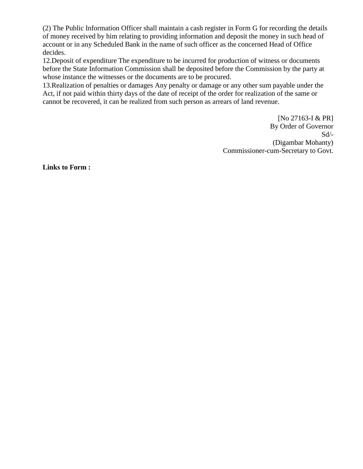(2) The Public Information Officer shall maintain a cash register in Form G for recording the details of money received by him relating to providing information and deposit the money in such head of account or in any Scheduled Bank in the name of such officer as the concerned Head of Office decides.

12.Deposit of expenditure The expenditure to be incurred for production of witness or documents before the State Information Commission shall be deposited before the Commission by the party at whose instance the witnesses or the documents are to be procured.

13.Realization of penalties or damages Any penalty or damage or any other sum payable under the Act, if not paid within thirty days of the date of receipt of the order for realization of the same or cannot be recovered, it can be realized from such person as arrears of land revenue.

> [No 27163-I & PR] By Order of Governor  $Sd$ <sup>-</sup> (Digambar Mohanty) Commissioner-cum-Secretary to Govt.

**Links to Form :**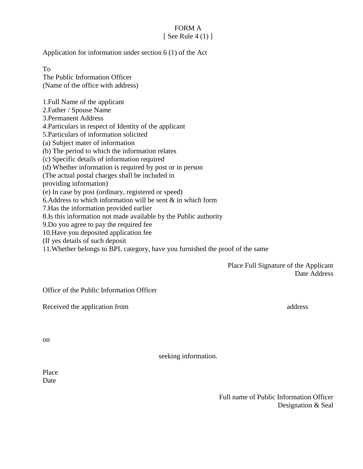FORM A [ See Rule  $4(1)$  ]

Application for information under section 6 (1) of the Act

To The Public Information Officer (Name of the office with address)

1.Full Name of the applicant 2.Father / Spouse Name 3.Permanent Address 4.Particulars in respect of Identity of the applicant 5.Particulars of information solicited (a) Subject mater of information (b) The period to which the information relates (c) Specific details of information required (d) Whether information is required by post or in person (The actual postal charges shall be included in providing information) (e) In case by post (ordinary, registered or speed) 6. Address to which information will be sent  $\&$  in which form 7.Has the information provided earlier 8.Is this information not made available by the Public authority 9.Do you agree to pay the required fee 10.Have you deposited application fee (If yes details of such deposit

11.Whether belongs to BPL category, have you furnished the proof of the same

Place Full Signature of the Applicant Date Address

Office of the Public Information Officer

Received the application from address and the application from and the set of the analysis of the application from an address and the set of the set of the set of the set of the set of the set of the set of the set of the

on

seeking information.

Place **Date** 

> Full name of Public Information Officer Designation & Seal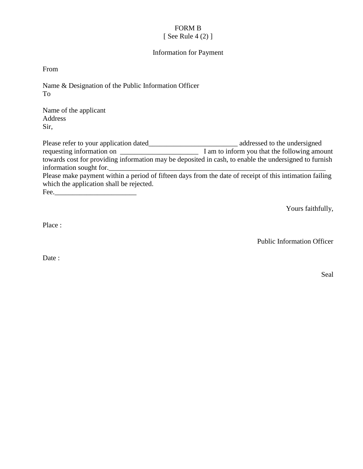#### FORM B [ See Rule 4 (2) ]

#### Information for Payment

From

Name & Designation of the Public Information Officer To

Name of the applicant Address Sir,

Please refer to your application dated\_\_\_\_\_\_\_\_\_\_\_\_\_\_\_\_\_\_\_\_\_\_\_\_\_ addressed to the undersigned requesting information on \_\_\_\_\_\_\_\_\_\_\_\_\_\_\_\_\_\_\_\_\_\_ I am to inform you that the following amount towards cost for providing information may be deposited in cash, to enable the undersigned to furnish information sought for. Please make payment within a period of fifteen days from the date of receipt of this intimation failing which the application shall be rejected. Fee.\_\_\_\_\_\_\_\_\_\_\_\_\_\_\_\_\_\_\_\_\_\_\_

Yours faithfully,

Place :

Public Information Officer

Date:

Seal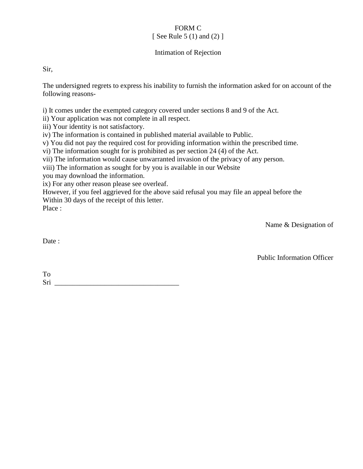### FORM C [ See Rule 5 (1) and (2) ]

#### Intimation of Rejection

Sir,

The undersigned regrets to express his inability to furnish the information asked for on account of the following reasons-

i) It comes under the exempted category covered under sections 8 and 9 of the Act.

ii) Your application was not complete in all respect.

iii) Your identity is not satisfactory.

iv) The information is contained in published material available to Public.

v) You did not pay the required cost for providing information within the prescribed time.

vi) The information sought for is prohibited as per section 24 (4) of the Act.

vii) The information would cause unwarranted invasion of the privacy of any person.

viii) The information as sought for by you is available in our Website

you may download the information.

ix) For any other reason please see overleaf.

However, if you feel aggrieved for the above said refusal you may file an appeal before the

Within 30 days of the receipt of this letter.

Place :

Name & Designation of

Date:

Public Information Officer

To Sri Queen Contract Contract Contract Contract Contract Contract Contract Contract Contract Contract Contract Contract Contract Contract Contract Contract Contract Contract Contract Contract Contract Contract Contract Contr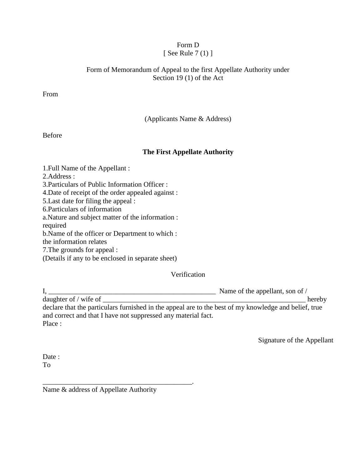# Form D

# [ See Rule  $7(1)$  ]

#### Form of Memorandum of Appeal to the first Appellate Authority under Section 19 (1) of the Act

From

(Applicants Name & Address)

Before

### **The First Appellate Authority**

1.Full Name of the Appellant : 2.Address : 3.Particulars of Public Information Officer : 4.Date of receipt of the order appealed against : 5.Last date for filing the appeal : 6.Particulars of information a.Nature and subject matter of the information : required b.Name of the officer or Department to which :

the information relates

7.The grounds for appeal :

(Details if any to be enclosed in separate sheet)

Verification

 $I, \underline{\hspace{1cm}}$  Name of the appellant, son of / daughter of / wife of \_\_\_\_\_\_\_\_\_\_\_\_\_\_\_\_\_\_\_\_\_\_\_\_\_\_\_\_\_\_\_\_\_\_\_\_\_\_\_\_\_\_\_\_\_\_\_\_\_\_\_\_\_\_\_\_\_ hereby declare that the particulars furnished in the appeal are to the best of my knowledge and belief, true and correct and that I have not suppressed any material fact. Place :

Signature of the Appellant

Date : To

Name & address of Appellate Authority

\_\_\_\_\_\_\_\_\_\_\_\_\_\_\_\_\_\_\_\_\_\_\_\_\_\_\_\_\_\_\_\_\_\_\_\_\_\_\_\_\_\_.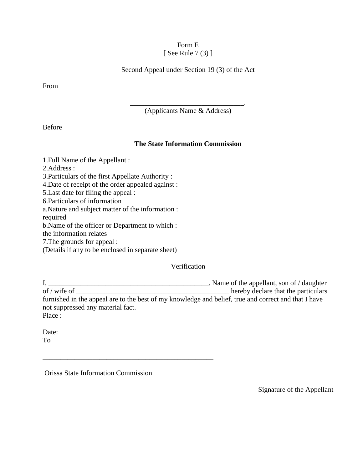#### Form E  $[$  See Rule 7 (3)  $]$

Second Appeal under Section 19 (3) of the Act

From

\_\_\_\_\_\_\_\_\_\_\_\_\_\_\_\_\_\_\_\_\_\_\_\_\_\_\_\_\_\_\_\_. (Applicants Name & Address)

Before

#### **The State Information Commission**

1.Full Name of the Appellant :

2.Address :

3.Particulars of the first Appellate Authority :

4.Date of receipt of the order appealed against :

5.Last date for filing the appeal :

6.Particulars of information

a.Nature and subject matter of the information :

required

b.Name of the officer or Department to which :

the information relates

7.The grounds for appeal :

(Details if any to be enclosed in separate sheet)

Verification

I, \_\_\_\_\_\_\_\_\_\_\_\_\_\_\_\_\_\_\_\_\_\_\_\_\_\_\_\_\_\_\_\_\_\_\_\_\_\_\_\_\_\_\_\_\_. Name of the appellant, son of / daughter **of**  $\Box$  hereby declare that the particulars furnished in the appeal are to the best of my knowledge and belief, true and correct and that I have not suppressed any material fact. Place :

Date: To

Orissa State Information Commission

\_\_\_\_\_\_\_\_\_\_\_\_\_\_\_\_\_\_\_\_\_\_\_\_\_\_\_\_\_\_\_\_\_\_\_\_\_\_\_\_\_\_\_\_\_\_\_\_

Signature of the Appellant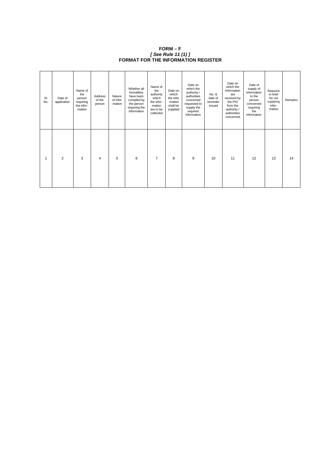| SI.<br>No. | Date of<br>application | Name of<br>the<br>person<br>requiring<br>the infor-<br>mation | Address<br>of the<br>person | Nature<br>of infor<br>-mation | Whether all<br>formalities<br>have been<br>compiled by<br>the person<br>requiring the<br>information | Name of<br>the<br>authority<br>which<br>the infor-<br>mation<br>are to be<br>collected | Date on<br>which<br>the infor<br>-mation<br>shall be<br>supplied | Date on<br>which the<br>authority /<br>authorities<br>concerned<br>requested to<br>supply the<br>required<br>information | No. &<br>date of<br>reminder<br>issued | Date on<br>which the<br>information<br>are<br>received by<br>the PIO<br>from the<br>authority /<br>authorities<br>concerned | Date of<br>supply of<br>information<br>to the<br>person<br>concerned<br>requiring<br>the<br>information | Reasons<br>in brief<br>for not<br>supplying<br>infor-<br>mation | Remarks |
|------------|------------------------|---------------------------------------------------------------|-----------------------------|-------------------------------|------------------------------------------------------------------------------------------------------|----------------------------------------------------------------------------------------|------------------------------------------------------------------|--------------------------------------------------------------------------------------------------------------------------|----------------------------------------|-----------------------------------------------------------------------------------------------------------------------------|---------------------------------------------------------------------------------------------------------|-----------------------------------------------------------------|---------|
|            | $\overline{2}$         | 3                                                             | $\overline{4}$              | 5                             | $\,6\,$                                                                                              | $\overline{7}$                                                                         | 8                                                                | 9                                                                                                                        | 10                                     | 11                                                                                                                          | 12                                                                                                      | 13                                                              | 14      |

| $FORM-F$                                   |
|--------------------------------------------|
| [ See Rule 11 (1) ]                        |
| <b>FORMAT FOR THE INFORMATION REGISTER</b> |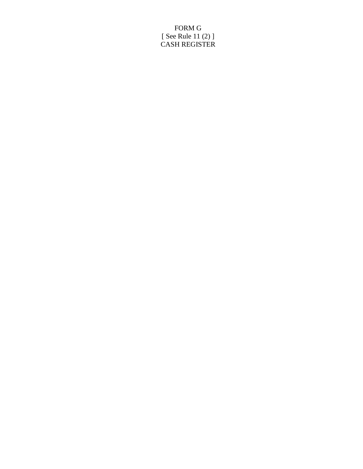## FORM G [ See Rule 11 (2) ] CASH REGISTER